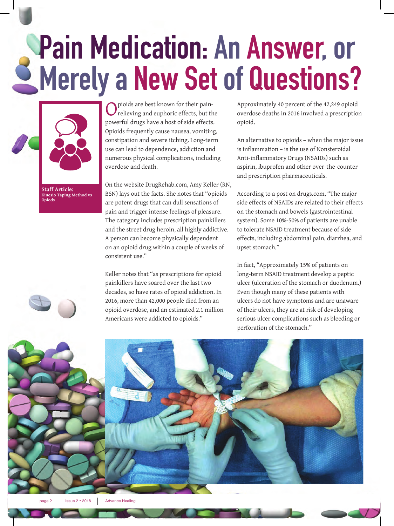## **Pain Medication: An Answer, or Merely a New Set of Questions?**



**Staff Article: Kinesio Taping Method vs Opiods**

pioids are best known for their painrelieving and euphoric effects, but the powerful drugs have a host of side effects. Opioids frequently cause nausea, vomiting, constipation and severe itching. Long-term use can lead to dependence, addiction and numerous physical complications, including overdose and death.

On the website DrugRehab.com, Amy Keller (RN, BSN) lays out the facts. She notes that "opioids are potent drugs that can dull sensations of pain and trigger intense feelings of pleasure. The category includes prescription painkillers and the street drug heroin, all highly addictive. A person can become physically dependent on an opioid drug within a couple of weeks of consistent use."

Keller notes that "as prescriptions for opioid painkillers have soared over the last two decades, so have rates of opioid addiction. In 2016, more than 42,000 people died from an opioid overdose, and an estimated 2.1 million Americans were addicted to opioids."

Approximately 40 percent of the 42,249 opioid overdose deaths in 2016 involved a prescription opioid.

An alternative to opioids – when the major issue is inflammation – is the use of Nonsteroidal Anti-inflammatory Drugs (NSAIDs) such as aspirin, ibuprofen and other over-the-counter and prescription pharmaceuticals.

According to a post on drugs.com, "The major side effects of NSAIDs are related to their effects on the stomach and bowels (gastrointestinal system). Some 10%-50% of patients are unable to tolerate NSAID treatment because of side effects, including abdominal pain, diarrhea, and upset stomach."

In fact, "Approximately 15% of patients on long-term NSAID treatment develop a peptic ulcer (ulceration of the stomach or duodenum.) Even though many of these patients with ulcers do not have symptoms and are unaware of their ulcers, they are at risk of developing serious ulcer complications such as bleeding or perforation of the stomach."